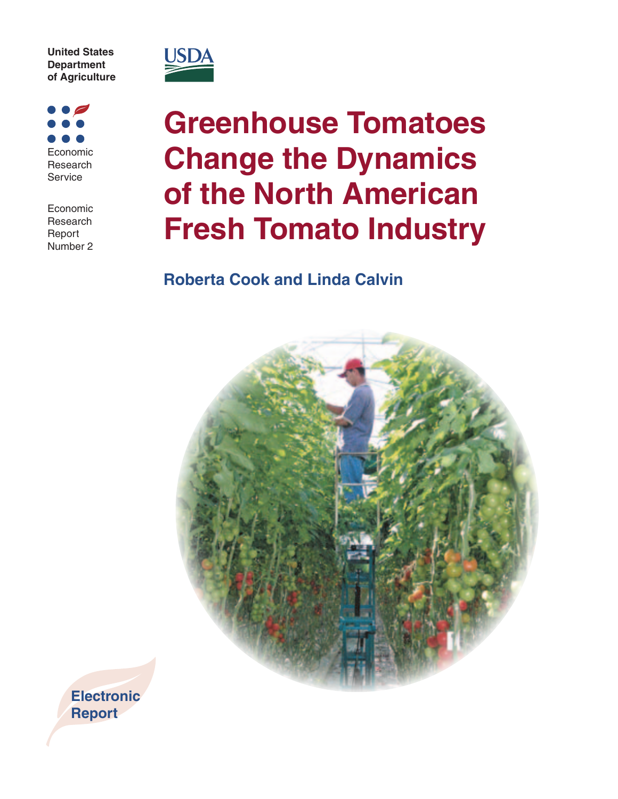

 $\bullet$ Economic Research

Service

Economic Research Report Number 2



## **Greenhouse Tomatoes Change the Dynamics of the North American Fresh Tomato Industry**

## **Roberta Cook and Linda Calvin**